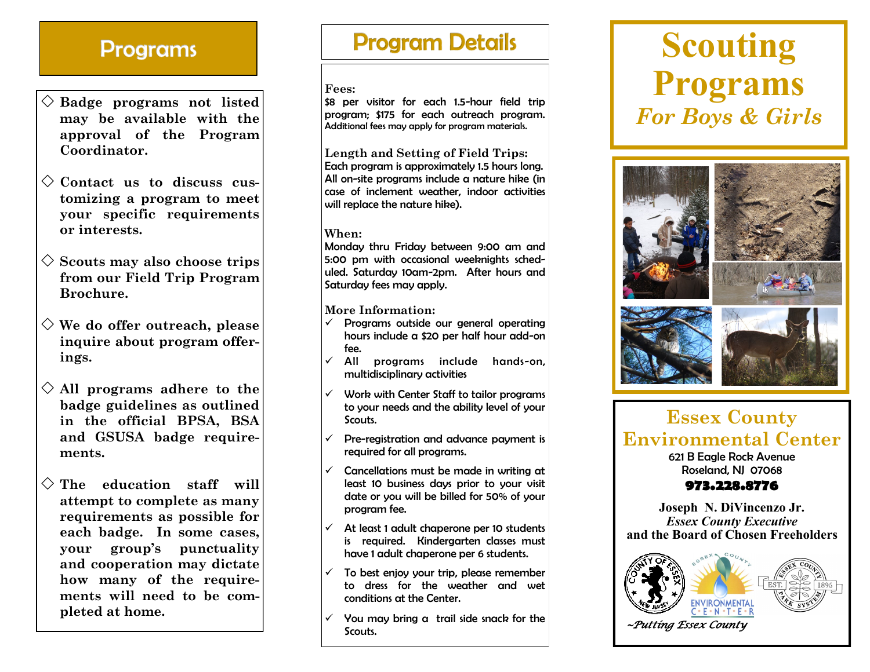### **Programs**

- **Badge programs not listed may be available with the approval of the Program Coordinator.**
- **Contact us to discuss customizing a program to meet your specific requirements or interests.**
- **Scouts may also choose trips from our Field Trip Program Brochure.**
- **We do offer outreach, please inquire about program offerings.**
- **All programs adhere to the badge guidelines as outlined in the official BPSA, BSA and GSUSA badge requirements.**
- **The education staff will attempt to complete as many requirements as possible for each badge. In some cases, your group's punctuality and cooperation may dictate how many of the requirements will need to be completed at home.**

### **Program Details**

#### **Fees:**

\$8 per visitor for each 1.5-hour field trip program; \$175 for each outreach program. Additional fees may apply for program materials.

**Length and Setting of Field Trips:** Each program is approximately 1.5 hours long. All on-site programs include a nature hike (in case of inclement weather, indoor activities will replace the nature hike).

#### **When:**

Monday thru Friday between 9:00 am and 5:00 pm with occasional weeknights scheduled. Saturday 10am-2pm. After hours and Saturday fees may apply.

**More Information:**

- $\checkmark$  Programs outside our general operating hours include a \$20 per half hour add-on fee.
- $\checkmark$  All programs include hands-on, multidisciplinary activities
- $\checkmark$  Work with Center Staff to tailor programs to your needs and the ability level of your Scouts.
- $\checkmark$  Pre-registration and advance payment is required for all programs.
- $\checkmark$  Cancellations must be made in writing at least 10 business days prior to your visit date or you will be billed for 50% of your program fee.
- $\checkmark$  At least 1 adult chaperone per 10 students is required. Kindergarten classes must have 1 adult chaperone per 6 students.
- To best enjoy your trip, please remember to dress for the weather and wet conditions at the Center.
- $\checkmark$  You may bring a trail side snack for the Scouts.

## **Scouting Programs** *For Boys & Girls*



### **Essex County Environmental Center** 621 B Eagle Rock Avenue

Roseland, NJ 07068

#### **973.228.8776**

**Joseph N. DiVincenzo Jr.** *Essex County Executive*  **and the Board of Chosen Freeholders**